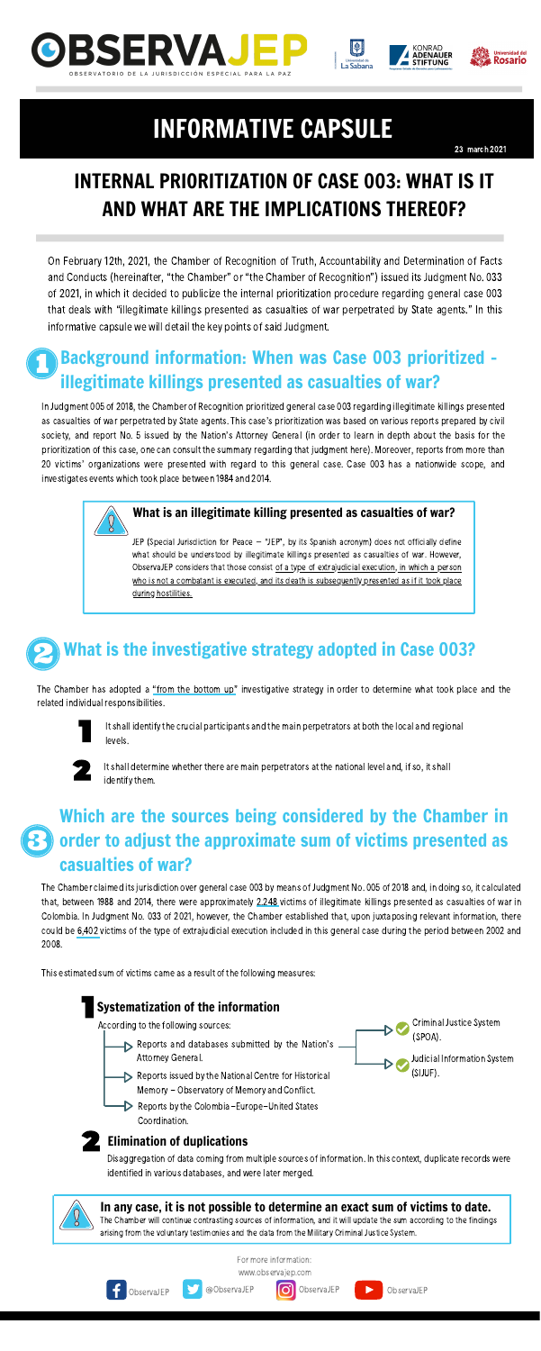In Judgment 005 of 2018, the Chamber of Recognition prioritized general case 003 regarding illegitimate killings presented as casualties of war perpetrated by State agents. This case's prioritization was based on various reports prepared by civil society, and report No. 5 issued by the Nation's Attorney General (in order to learn in depth about the basis for the prioritization of this case, one can consult the summary regarding that judgment [here](http://observajep.com/images/macrocasos/3.pdf)). Moreover, reports from more than 20 victims' organizations were presented with regard to this general case. Case 003 has a nationwide scope, and investigates events which took place between 1984 and 2014.



It shall identify the crucial participants and the main perpetrators at both the local and regional levels.

On February 12th, 2021, the Chamber of Recognition of Truth, Accountability and Determination of Facts and Conducts (hereinafter, "the Chamber" or "the Chamber of Recognition") issued its Judgment No. 033 of 2021, in which it decided to publicize the internal prioritization procedure regarding general case 003 that deals with "illegitimate killings presented as casualties of war perpetrated by State agents." In this informative capsule we will detail the key points of said Judgment.



It shall determine whether there are main perpetrators at the national level and, if so, it shall identify them.

## INTERNAL PRIORITIZATION OF CASE 003: WHAT IS IT AND WHAT ARE THE IMPLICATIONS THEREOF?

23 march 2021







# INFORMATIVE CAPSULE

## Background information: When was Case 003 prioritized – illegitimate killings presented as casualties of war?

For more information:

ObservaJEP **@ObservaJEP O** ObservaJEP **DeservaJEP** 





# What is the investigative strategy adopted in Case 003?

### What is an illegitimate killing presented as casualties of war?

- Reports and databases submitted by the Nation's Attorney General.
- Reports issued by the National Centre for Historical (SIJUF). Memory - Observatory of Memory and Conflict.
- $\triangleright$  Reports by the Colombia-Europe-United States Coordination.

The Chamber will continue contrasting sources of information, and it will update the sum according to the findings arising from the voluntary testimonies and the data from the Military Criminal Justice System.

JEP (Special Jurisdiction for Peace – "JEP", by its Spanish acronym) does not officially define what should be understood by illegitimate killings presented as casualties of war. However, ObservaJEP considers that those consist of a type of extrajudicial execution, in which a person who is not a combatant is executed, and its death is subsequently presented as if it took place during hostilities.

The Chamber has adopted a "from the bottom up" investigative strategy in order to determine what took place and the related individual responsibilities.



## Which are the sources being considered by the Chamber in order to adjust the approximate sum of victims presented as casualties of war?

The Chamber claimed itsjurisdiction over general case 003 by means of Judgment No. 005 of 2018 and, in doing so, it calculated that, between 1988 and 2014, there were approximately 2,248 victims of illegitimate killings presented as casualties of war in Colombia. In Judgment No. 033 of 2021, however, the Chamber established that, upon juxtaposing relevant information, there could be 6,402 victims of the type of extrajudicial execution included in this general case during the period between 2002 and 2008.

This estimated sum of victims came as a result of the following measures:

### Systematization of the information

According to the following sources:

Criminal Justice System

(SPOA).

Judicial Information System

### Elimination of duplications

Disaggregation of data coming from multiple sources of information. In this context, duplicate records were identified in various databases, and were later merged.



### In any case, it is not possible to determine an exact sum of victims to date.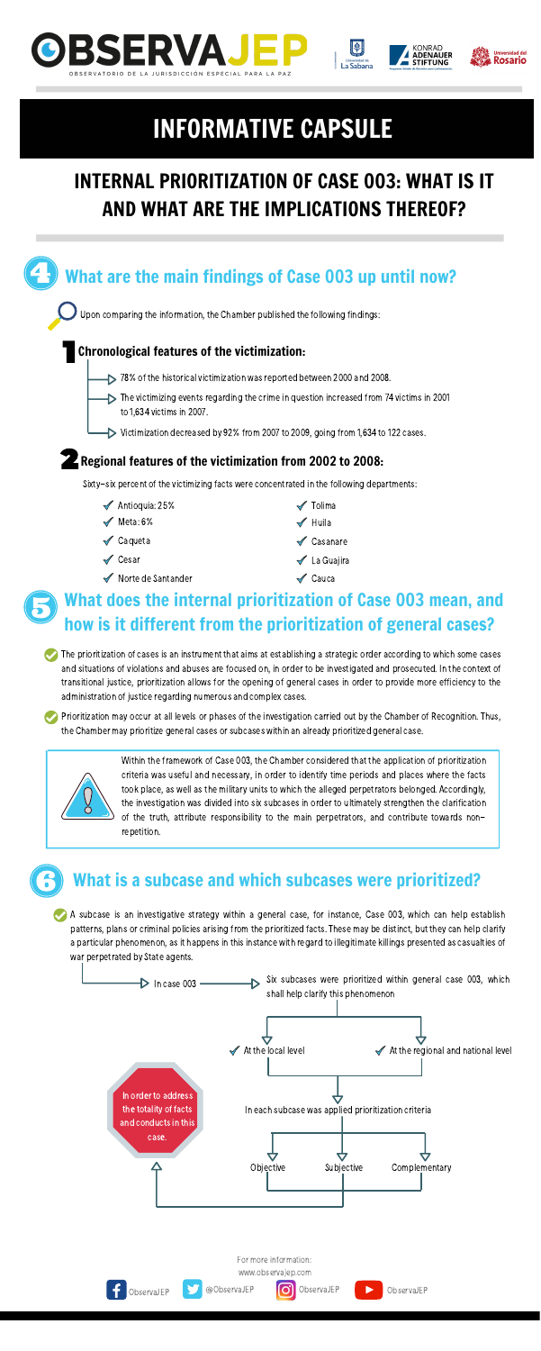





Within the framework of Case 003, the Chamber considered that the application of prioritization criteria was useful and necessary, in order to identify time periods and places where the facts took place, as well as the military units to which the alleged perpetrators belonged. Accordingly, the investigation was divided into six subcases in order to ultimately strengthen the clarification

of the truth, attribute responsibility to the main perpetrators, and contribute towards nonrepetition.

## What are the main findings of Case 003 up until now?

Upon comparing the information, the Chamber published the following findings:

### Chronological features of the victimization:

- $\triangleright$  78% of the historical victimization was reported between 2000 and 2008.
- $\triangleright$  The victimizing events regarding the crime in question increased from 74 victims in 2001 to 1,634 victims in 2007.
- Victimization decreased by 92% from 2007 to 2009, going from 1,634 to 122 cases.

### **Z** Regional features of the victimization from 2002 to 2008:

Sixty-six percent of the victimizing facts were concentrated in the following departments:

- $\blacktriangleleft$  Antioquia: 25%
- $\mathcal$  Meta: 6%
- **√** Caqueta
- $\mathscrtriangle$  Cesar
- Norte de Santander
- $\mathcal I$  Tolima
- $\mathscr$  Huila
- **√** Casanare
- **√** La Guajira
- $\mathcal X$  Cauca

## What does the internal prioritization of Case 003 mean, and how is it different from the prioritization of general cases?



The prioritization of cases is an instrument that aims at establishing a strategic order according to which some cases and situations of violations and abuses are focused on, in order to be investigated and prosecuted. In the context of transitional justice, prioritization allows for the opening of general cases in order to provide more efficiency to the administration of justice regarding numerous and complex cases.

Prioritization may occur at all levels or phases of the investigation carried out by the Chamber of Recognition. Thus, the Chamber may prioritize general cases or subcases within an already prioritized general case.



## What is a subcase and which subcases were prioritized?

A subcase is an investigative strategy within a general case, for instance, Case 003, which can help establish patterns, plans or criminal policies arising from the prioritized facts. These may be distinct, but they can help clarify a particular phenomenon, as it happens in this instance with regard to illegitimate killings presented as casualties of war perpetrated by State agents.

## INTERNAL PRIORITIZATION OF CASE 003: WHAT IS IT AND WHAT ARE THE IMPLICATIONS THEREOF?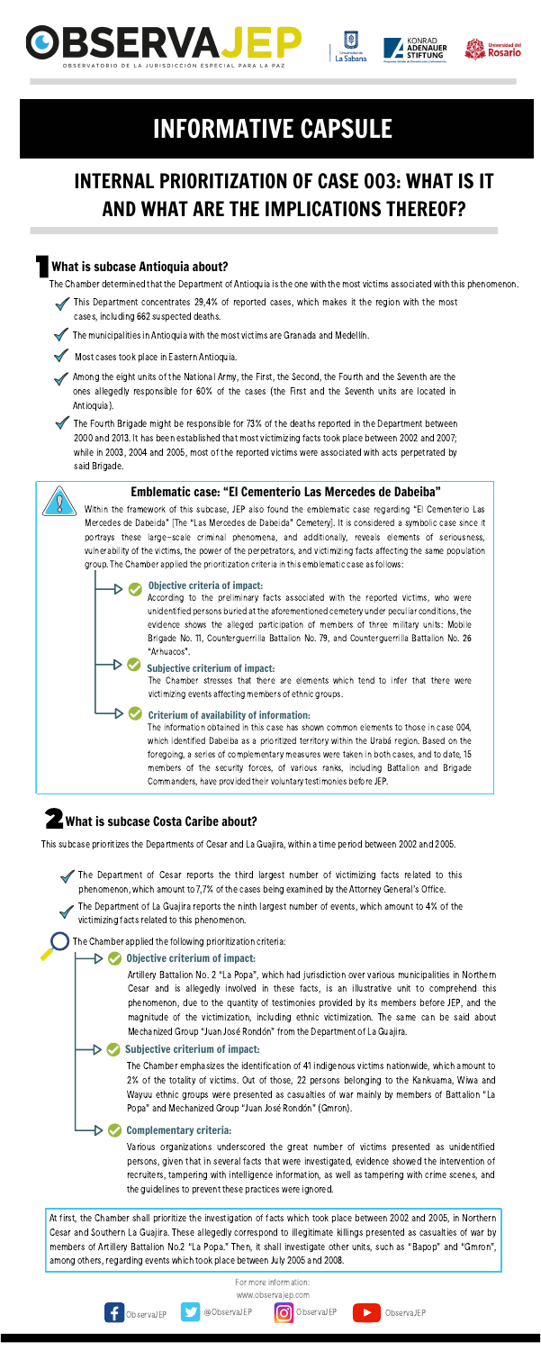





#### Emblematic case: "El Cementerio Las Mercedes de Dabeiba"

The information obtained in this case has shown common elements to those in case 004, which identified Dabeiba as a prioritized territory within the Urabá region. Based on the foregoing, a series of complementary measures were taken in both cases, and to date, 15 members of the security forces, of various ranks, including Battalion and Brigade Commanders, have provided their voluntary testimonies before JEP.

## **Z** What is subcase Costa Caribe about?

This subcase prioritizes the Departments of Cesar and La Guajira, within a time period between 2002 and 2005.

- This Department concentrates 29,4% of reported cases, which makes it the region with the most cases, including 662 suspected deaths.
- The municipalities in Antioquia with the most victims are Granada and Medellín.

Most cases took place in Eastern Antioquia.

At first, the Chamber shall prioritize the investigation of facts which took place between 2002 and 2005, in Northern Cesar and Southern La Guajira. These allegedly correspond to illegitimate killings presented as casualties of war by members of Artillery Battalion No.2 "La Popa." Then, it shall investigate other units, such as "Bapop" and "Gmron", among others, regarding events which took place between July 2005 and 2008.



For more information:

[www.observajep.com](http://observajep.com/index.php)





### What is subcase Antioquia about?

The Chamber determined that the Department of Antioquia is the one with the most victims associated with this phenomenon.

Among the eight units of the National Army, the First, the Second, the Fourth and the Seventh are the ones allegedly responsible for 60% of the cases (the First and the Seventh units are located in Antioquia).

- The Department of Cesar reports the third largest number of victimizing facts related to this phenomenon, which amount to 7,7% of the cases being examined by the Attorney General's Office.
- The Department of La Guajira reports the ninth largest number of events, which amount to 4% of the victimizing facts related to this phenomenon.

The Fourth Brigade might be responsible for 73% of the deaths reported in the Department between 2000 and 2013. It has been established that most victimizing facts took place between 2002 and 2007; while in 2003, 2004 and 2005, most of the reported victims were associated with acts perpetrated by said Brigade.

> Various organizations underscored the great number of victims presented as unidentified persons, given that in several facts that were investigated, evidence showed the intervention of recruiters, tampering with intelligence information, as well as tampering with crime scenes, and the guidelines to prevent these practices were ignored.

> Artillery Battalion No. 2 "La Popa", which had jurisdiction over various municipalities in Northern Cesar and is allegedly involved in these facts, is an illustrative unit to comprehend this phenomenon, due to the quantity of testimonies provided by its members before JEP, and the magnitude of the victimization, including ethnic victimization. The same can be said about Mechanized Group "Juan José Rondón" from the Department of La Guajira.

Within the framework of this subcase, JEP also found the emblematic case regarding "El Cementerio Las Mercedes de Dabeida" [The "Las Mercedes de Dabeida" Cemetery]. It is considered a symbolic case since it portrays these large-scale criminal phenomena, and additionally, reveals elements of seriousness, vulnerability of the victims, the power of the perpetrators, and victimizing facts affecting the same population group. The Chamber applied the prioritization criteria in this emblematic case asfollows:

#### D W Complementary criteria:

#### Objective criteria of impact:

According to the preliminary facts associated with the reported victims, who were unidentified persons buried at the aforementioned cemetery under peculiar conditions, the evidence shows the alleged participation of members of three military units: Mobile Brigade No. 11, Counterguerrilla Battalion No. 79, and Counterguerrilla Battalion No. 26 "Arhuacos".

Subjective criterium of impact:

The Chamber stresses that there are elements which tend to infer that there were victimizing events affecting members of ethnic groups.

#### Criterium of availability of information:

#### Objective criterium of impact:

#### Subjective criterium of impact:

The Chamber emphasizes the identification of 41 indigenous victims nationwide, which amount to 2% of the totality of victims. Out of those, 22 persons belonging to the Kankuama, Wiwa and Wayuu ethnic groups were presented as casualties of war mainly by members of Battalion "La Popa" and Mechanized Group "Juan José Rondón" (Gmron).

The Chamber applied the following prioritization criteria:

## INTERNAL PRIORITIZATION OF CASE 003: WHAT IS IT AND WHAT ARE THE IMPLICATIONS THEREOF?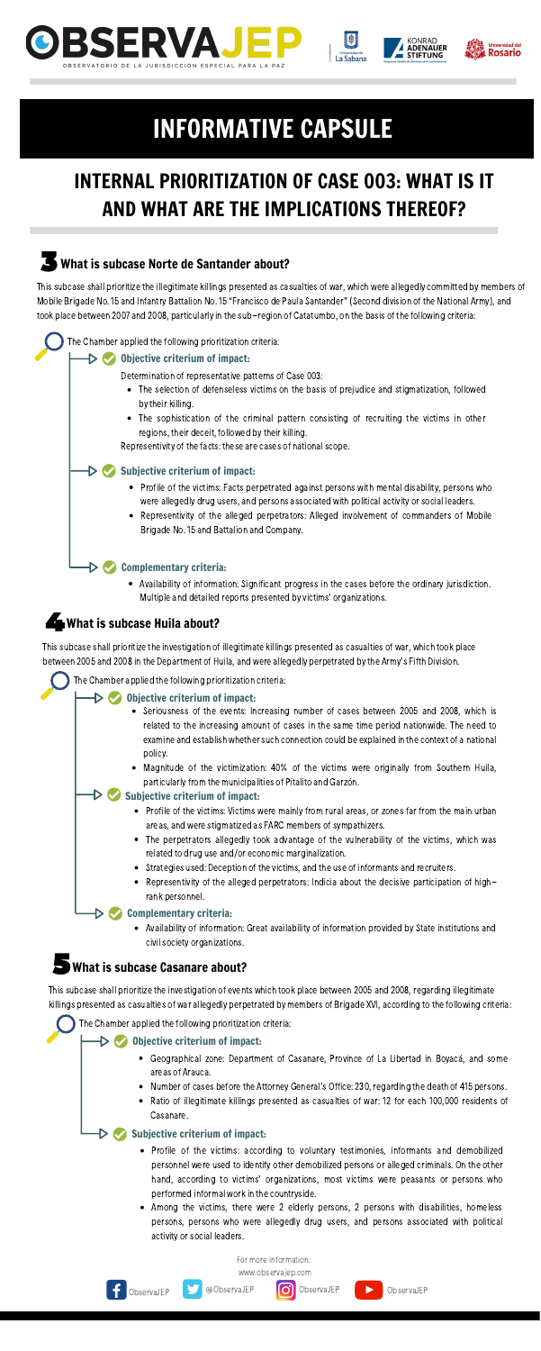





- Profile of the victims: Victims were mainly from rural areas, or zones far from the main urban areas, and were stigmatized as FARC members of sympathizers.
	- The perpetrators allegedly took advantage of the vulnerability of the victims, which was related to drug use and/or economic marginalization.
	- Strategies used: Deception of the victims, and the use of informants and recruiters.
	- Representivity of the alleged perpetrators: Indicia about the decisive participation of highrank personnel.

- Profile of the victims: according to voluntary testimonies, informants and demobilized personnel were used to identify other demobilized persons or alleged criminals. On the other hand, according to victims' organizations, most victims were peasants or persons who performed informal work in the countryside.
- Among the victims, there were 2 elderly persons, 2 persons with disabilities, homeless persons, persons who were allegedly drug users, and persons associated with political activity or social leaders.

#### $\triangleright \triangleright$  Complementary criteria:

ObservaJEP **Detailed Access** ObservaJEP **CO** ObservaJEP **Detailed Access** ObservaJEP

Thissubcase shall prioritize the illegitimate killings presented as casualties of war, which were allegedly committed by members of Mobile Brigade No. 15 and Infantry Battalion No. 15 "Francisco de Paula Santander" (Second division of the National Army), and took place between 2007 and 2008, particularly in the sub-region of Catatumbo, on the basis of the following criteria:

> Availability of information: Significant progress in the cases before the ordinary jurisdiction. Multiple and detailed reports presented by victims' organizations.

### What is subcase Huila about?

- The selection of defenseless victims on the basis of prejudice and stigmatization, followed by their killing.
- The sophistication of the criminal pattern consisting of recruiting the victims in other regions, their deceit, followed by their killing.

Representivity of the facts: these are cases of national scope.

- Profile of the victims: Facts perpetrated against persons with mental disability, persons who were allegedly drug users, and persons associated with political activity or social leaders.
- Representivity of the alleged perpetrators: Alleged involvement of commanders of Mobile Brigade No. 15 and Battalion and Company.

#### Complementary criteria:

Availability of information: Great availability of information provided by State institutions and civil society organizations.

### What is subcase Casanare about?

- Seriousness of the events: Increasing number of cases between 2005 and 2008, which is related to the increasing amount of cases in the same time period nationwide. The need to examine and establish whether such connection could be explained in the context of a national policy.
- Magnitude of the victimization: 40% of the victims were originally from Southern Huila, particularly from the municipalities of Pitalito and Garzón.

#### $\triangleright \triangleright$  Subjective criterium of impact:

Determination of representative patterns of Case 003:

This subcase shall prioritize the investigation of events which took place between 2005 and 2008, regarding illegitimate killings presented as casualties of war allegedly perpetrated by members of Brigade XVI, according to the following criteria:

For more information:



### What is subcase Norte de Santander about?

#### Subjective criterium of impact:

The Chamber applied the following prioritization criteria:

#### Objective criterium of impact:

Thissubcase shall prioritize the investigation of illegitimate killings presented as casualties of war, which took place between 2005 and 2008 in the Department of Huila, and were allegedly perpetrated bythe Army's Fifth Division.

The Chamber applied the following prioritization criteria:

#### $\triangleright \triangleright$  Objective criterium of impact:

- Geographical zone: Department of Casanare, Province of La Libertad in Boyacá, and some areas of Arauca.
- Number of cases before the Attorney General's Office: 230, regarding the death of 415 persons.
- Ratio of illegitimate killings presented as casualties of war: 12 for each 100,000 residents of Casanare.

#### Objective criterium of impact:

#### Subjective criterium of impact:

The Chamber applied the following prioritization criteria:

## INTERNAL PRIORITIZATION OF CASE 003: WHAT IS IT AND WHAT ARE THE IMPLICATIONS THEREOF?